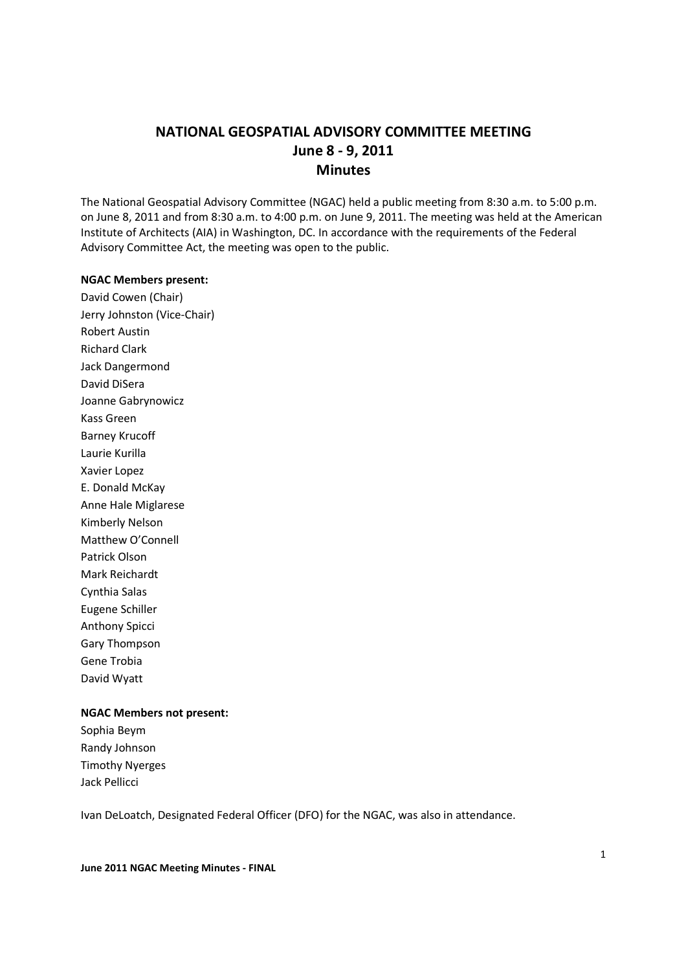# **NATIONAL GEOSPATIAL ADVISORY COMMITTEE MEETING June 8 - 9, 2011 Minutes**

The National Geospatial Advisory Committee (NGAC) held a public meeting from 8:30 a.m. to 5:00 p.m. on June 8, 2011 and from 8:30 a.m. to 4:00 p.m. on June 9, 2011. The meeting was held at the American Institute of Architects (AIA) in Washington, DC. In accordance with the requirements of the Federal Advisory Committee Act, the meeting was open to the public.

#### **NGAC Members present:**

David Cowen (Chair) Jerry Johnston (Vice-Chair) Robert Austin Richard Clark Jack Dangermond David DiSera Joanne Gabrynowicz Kass Green Barney Krucoff Laurie Kurilla Xavier Lopez E. Donald McKay Anne Hale Miglarese Kimberly Nelson Matthew O'Connell Patrick Olson Mark Reichardt Cynthia Salas Eugene Schiller Anthony Spicci Gary Thompson Gene Trobia David Wyatt

## **NGAC Members not present:**

Sophia Beym Randy Johnson Timothy Nyerges Jack Pellicci

Ivan DeLoatch, Designated Federal Officer (DFO) for the NGAC, was also in attendance.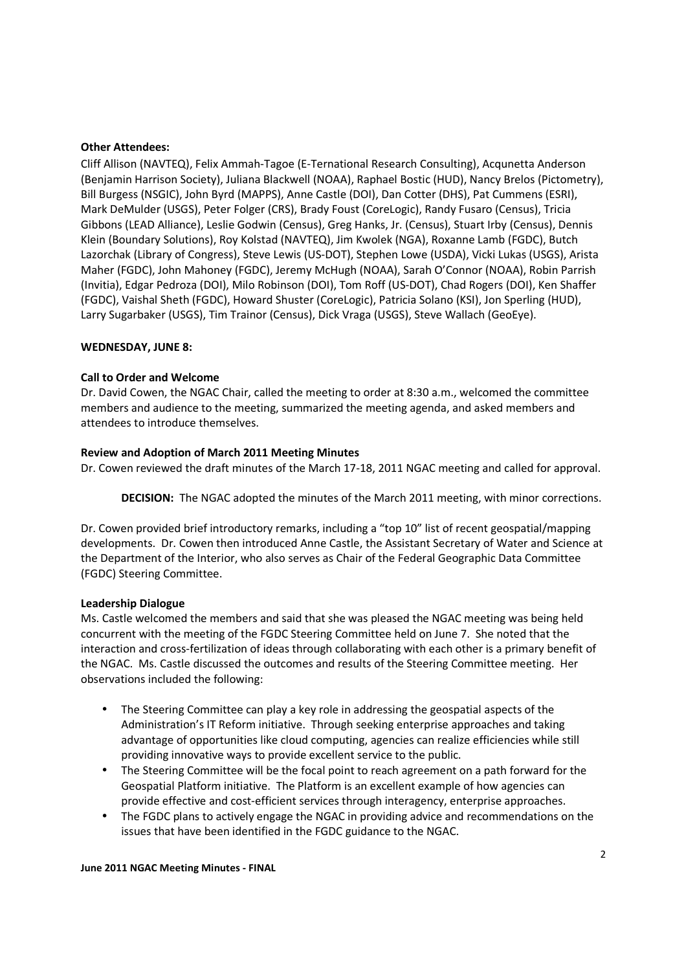#### **Other Attendees:**

Cliff Allison (NAVTEQ), Felix Ammah-Tagoe (E-Ternational Research Consulting), Acqunetta Anderson (Benjamin Harrison Society), Juliana Blackwell (NOAA), Raphael Bostic (HUD), Nancy Brelos (Pictometry), Bill Burgess (NSGIC), John Byrd (MAPPS), Anne Castle (DOI), Dan Cotter (DHS), Pat Cummens (ESRI), Mark DeMulder (USGS), Peter Folger (CRS), Brady Foust (CoreLogic), Randy Fusaro (Census), Tricia Gibbons (LEAD Alliance), Leslie Godwin (Census), Greg Hanks, Jr. (Census), Stuart Irby (Census), Dennis Klein (Boundary Solutions), Roy Kolstad (NAVTEQ), Jim Kwolek (NGA), Roxanne Lamb (FGDC), Butch Lazorchak (Library of Congress), Steve Lewis (US-DOT), Stephen Lowe (USDA), Vicki Lukas (USGS), Arista Maher (FGDC), John Mahoney (FGDC), Jeremy McHugh (NOAA), Sarah O'Connor (NOAA), Robin Parrish (Invitia), Edgar Pedroza (DOI), Milo Robinson (DOI), Tom Roff (US-DOT), Chad Rogers (DOI), Ken Shaffer (FGDC), Vaishal Sheth (FGDC), Howard Shuster (CoreLogic), Patricia Solano (KSI), Jon Sperling (HUD), Larry Sugarbaker (USGS), Tim Trainor (Census), Dick Vraga (USGS), Steve Wallach (GeoEye).

### **WEDNESDAY, JUNE 8:**

### **Call to Order and Welcome**

Dr. David Cowen, the NGAC Chair, called the meeting to order at 8:30 a.m., welcomed the committee members and audience to the meeting, summarized the meeting agenda, and asked members and attendees to introduce themselves.

### **Review and Adoption of March 2011 Meeting Minutes**

Dr. Cowen reviewed the draft minutes of the March 17-18, 2011 NGAC meeting and called for approval.

**DECISION:** The NGAC adopted the minutes of the March 2011 meeting, with minor corrections.

Dr. Cowen provided brief introductory remarks, including a "top 10" list of recent geospatial/mapping developments. Dr. Cowen then introduced Anne Castle, the Assistant Secretary of Water and Science at the Department of the Interior, who also serves as Chair of the Federal Geographic Data Committee (FGDC) Steering Committee.

#### **Leadership Dialogue**

Ms. Castle welcomed the members and said that she was pleased the NGAC meeting was being held concurrent with the meeting of the FGDC Steering Committee held on June 7. She noted that the interaction and cross-fertilization of ideas through collaborating with each other is a primary benefit of the NGAC. Ms. Castle discussed the outcomes and results of the Steering Committee meeting. Her observations included the following:

- The Steering Committee can play a key role in addressing the geospatial aspects of the Administration's IT Reform initiative. Through seeking enterprise approaches and taking advantage of opportunities like cloud computing, agencies can realize efficiencies while still providing innovative ways to provide excellent service to the public.
- The Steering Committee will be the focal point to reach agreement on a path forward for the Geospatial Platform initiative. The Platform is an excellent example of how agencies can provide effective and cost-efficient services through interagency, enterprise approaches.
- The FGDC plans to actively engage the NGAC in providing advice and recommendations on the issues that have been identified in the FGDC guidance to the NGAC.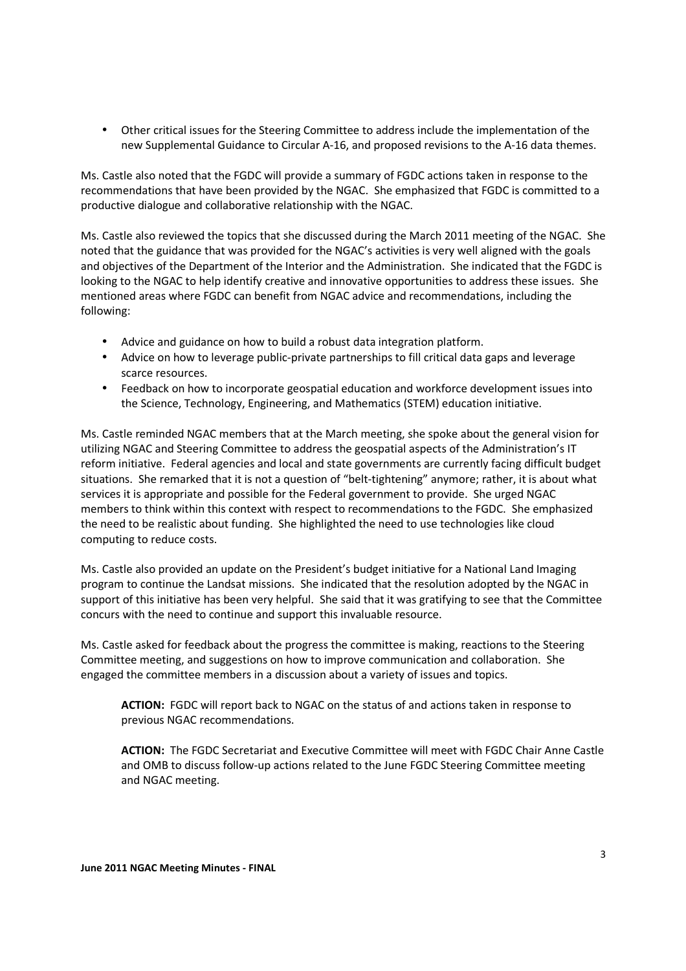• Other critical issues for the Steering Committee to address include the implementation of the new Supplemental Guidance to Circular A-16, and proposed revisions to the A-16 data themes.

Ms. Castle also noted that the FGDC will provide a summary of FGDC actions taken in response to the recommendations that have been provided by the NGAC. She emphasized that FGDC is committed to a productive dialogue and collaborative relationship with the NGAC.

Ms. Castle also reviewed the topics that she discussed during the March 2011 meeting of the NGAC. She noted that the guidance that was provided for the NGAC's activities is very well aligned with the goals and objectives of the Department of the Interior and the Administration. She indicated that the FGDC is looking to the NGAC to help identify creative and innovative opportunities to address these issues. She mentioned areas where FGDC can benefit from NGAC advice and recommendations, including the following:

- Advice and guidance on how to build a robust data integration platform.
- Advice on how to leverage public-private partnerships to fill critical data gaps and leverage scarce resources.
- Feedback on how to incorporate geospatial education and workforce development issues into the Science, Technology, Engineering, and Mathematics (STEM) education initiative.

Ms. Castle reminded NGAC members that at the March meeting, she spoke about the general vision for utilizing NGAC and Steering Committee to address the geospatial aspects of the Administration's IT reform initiative. Federal agencies and local and state governments are currently facing difficult budget situations. She remarked that it is not a question of "belt-tightening" anymore; rather, it is about what services it is appropriate and possible for the Federal government to provide. She urged NGAC members to think within this context with respect to recommendations to the FGDC. She emphasized the need to be realistic about funding. She highlighted the need to use technologies like cloud computing to reduce costs.

Ms. Castle also provided an update on the President's budget initiative for a National Land Imaging program to continue the Landsat missions. She indicated that the resolution adopted by the NGAC in support of this initiative has been very helpful. She said that it was gratifying to see that the Committee concurs with the need to continue and support this invaluable resource.

Ms. Castle asked for feedback about the progress the committee is making, reactions to the Steering Committee meeting, and suggestions on how to improve communication and collaboration. She engaged the committee members in a discussion about a variety of issues and topics.

**ACTION:** FGDC will report back to NGAC on the status of and actions taken in response to previous NGAC recommendations.

**ACTION:** The FGDC Secretariat and Executive Committee will meet with FGDC Chair Anne Castle and OMB to discuss follow-up actions related to the June FGDC Steering Committee meeting and NGAC meeting.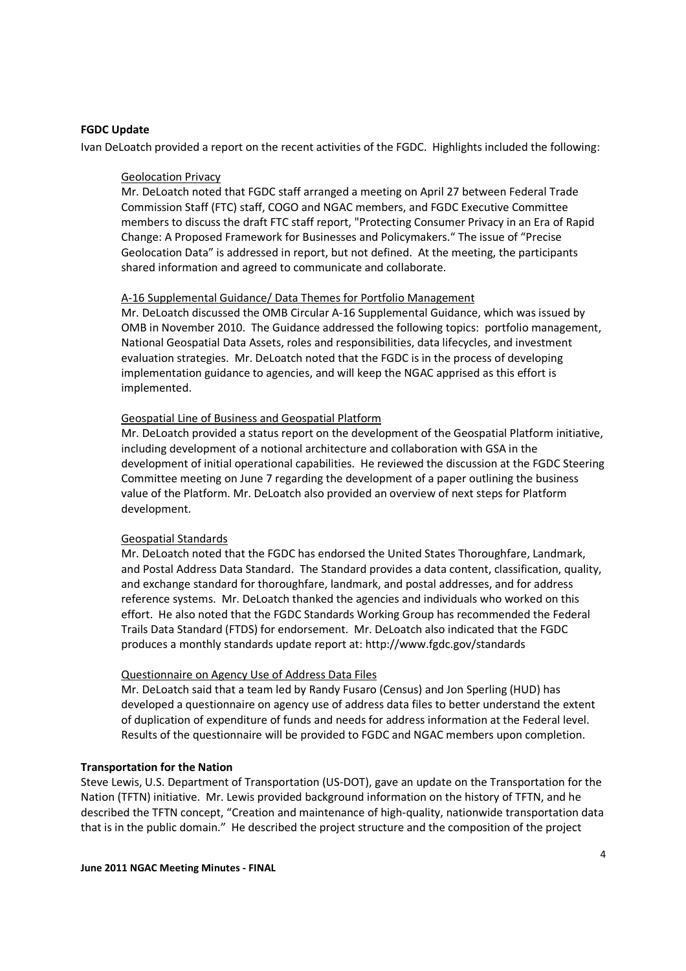#### **FGDC Update**

Ivan DeLoatch provided a report on the recent activities of the FGDC. Highlights included the following:

#### Geolocation Privacy

Mr. DeLoatch noted that FGDC staff arranged a meeting on April 27 between Federal Trade Commission Staff (FTC) staff, COGO and NGAC members, and FGDC Executive Committee members to discuss the draft FTC staff report, "Protecting Consumer Privacy in an Era of Rapid Change: A Proposed Framework for Businesses and Policymakers." The issue of "Precise Geolocation Data" is addressed in report, but not defined. At the meeting, the participants shared information and agreed to communicate and collaborate.

#### A-16 Supplemental Guidance/ Data Themes for Portfolio Management

Mr. DeLoatch discussed the OMB Circular A-16 Supplemental Guidance, which was issued by OMB in November 2010. The Guidance addressed the following topics: portfolio management, National Geospatial Data Assets, roles and responsibilities, data lifecycles, and investment evaluation strategies. Mr. DeLoatch noted that the FGDC is in the process of developing implementation guidance to agencies, and will keep the NGAC apprised as this effort is implemented.

#### Geospatial Line of Business and Geospatial Platform

Mr. DeLoatch provided a status report on the development of the Geospatial Platform initiative, including development of a notional architecture and collaboration with GSA in the development of initial operational capabilities. He reviewed the discussion at the FGDC Steering Committee meeting on June 7 regarding the development of a paper outlining the business value of the Platform. Mr. DeLoatch also provided an overview of next steps for Platform development.

#### Geospatial Standards

Mr. DeLoatch noted that the FGDC has endorsed the United States Thoroughfare, Landmark, and Postal Address Data Standard. The Standard provides a data content, classification, quality, and exchange standard for thoroughfare, landmark, and postal addresses, and for address reference systems. Mr. DeLoatch thanked the agencies and individuals who worked on this effort. He also noted that the FGDC Standards Working Group has recommended the Federal Trails Data Standard (FTDS) for endorsement. Mr. DeLoatch also indicated that the FGDC produces a monthly standards update report at: http://www.fgdc.gov/standards

#### Questionnaire on Agency Use of Address Data Files

Mr. DeLoatch said that a team led by Randy Fusaro (Census) and Jon Sperling (HUD) has developed a questionnaire on agency use of address data files to better understand the extent of duplication of expenditure of funds and needs for address information at the Federal level. Results of the questionnaire will be provided to FGDC and NGAC members upon completion.

#### **Transportation for the Nation**

Steve Lewis, U.S. Department of Transportation (US-DOT), gave an update on the Transportation for the Nation (TFTN) initiative. Mr. Lewis provided background information on the history of TFTN, and he described the TFTN concept, "Creation and maintenance of high-quality, nationwide transportation data that is in the public domain." He described the project structure and the composition of the project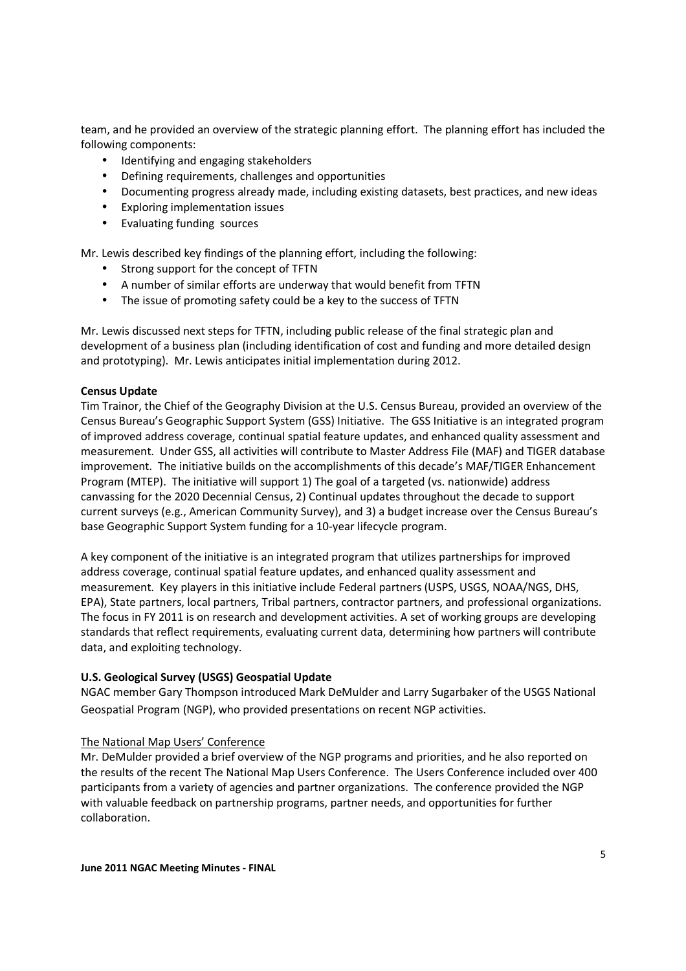team, and he provided an overview of the strategic planning effort. The planning effort has included the following components:

- Identifying and engaging stakeholders
- Defining requirements, challenges and opportunities
- Documenting progress already made, including existing datasets, best practices, and new ideas
- Exploring implementation issues
- Evaluating funding sources

Mr. Lewis described key findings of the planning effort, including the following:

- Strong support for the concept of TFTN
- A number of similar efforts are underway that would benefit from TFTN
- The issue of promoting safety could be a key to the success of TFTN

Mr. Lewis discussed next steps for TFTN, including public release of the final strategic plan and development of a business plan (including identification of cost and funding and more detailed design and prototyping). Mr. Lewis anticipates initial implementation during 2012.

## **Census Update**

Tim Trainor, the Chief of the Geography Division at the U.S. Census Bureau, provided an overview of the Census Bureau's Geographic Support System (GSS) Initiative. The GSS Initiative is an integrated program of improved address coverage, continual spatial feature updates, and enhanced quality assessment and measurement. Under GSS, all activities will contribute to Master Address File (MAF) and TIGER database improvement. The initiative builds on the accomplishments of this decade's MAF/TIGER Enhancement Program (MTEP). The initiative will support 1) The goal of a targeted (vs. nationwide) address canvassing for the 2020 Decennial Census, 2) Continual updates throughout the decade to support current surveys (e.g., American Community Survey), and 3) a budget increase over the Census Bureau's base Geographic Support System funding for a 10-year lifecycle program.

A key component of the initiative is an integrated program that utilizes partnerships for improved address coverage, continual spatial feature updates, and enhanced quality assessment and measurement. Key players in this initiative include Federal partners (USPS, USGS, NOAA/NGS, DHS, EPA), State partners, local partners, Tribal partners, contractor partners, and professional organizations. The focus in FY 2011 is on research and development activities. A set of working groups are developing standards that reflect requirements, evaluating current data, determining how partners will contribute data, and exploiting technology.

## **U.S. Geological Survey (USGS) Geospatial Update**

NGAC member Gary Thompson introduced Mark DeMulder and Larry Sugarbaker of the USGS National Geospatial Program (NGP), who provided presentations on recent NGP activities.

## The National Map Users' Conference

Mr. DeMulder provided a brief overview of the NGP programs and priorities, and he also reported on the results of the recent The National Map Users Conference. The Users Conference included over 400 participants from a variety of agencies and partner organizations. The conference provided the NGP with valuable feedback on partnership programs, partner needs, and opportunities for further collaboration.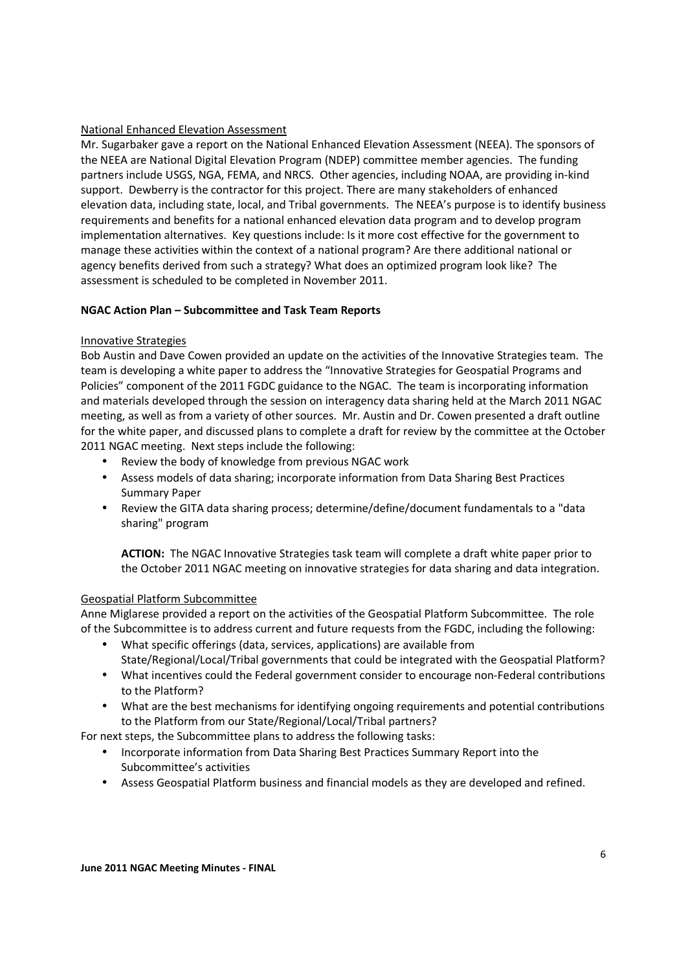### National Enhanced Elevation Assessment

Mr. Sugarbaker gave a report on the National Enhanced Elevation Assessment (NEEA). The sponsors of the NEEA are National Digital Elevation Program (NDEP) committee member agencies. The funding partners include USGS, NGA, FEMA, and NRCS. Other agencies, including NOAA, are providing in-kind support. Dewberry is the contractor for this project. There are many stakeholders of enhanced elevation data, including state, local, and Tribal governments. The NEEA's purpose is to identify business requirements and benefits for a national enhanced elevation data program and to develop program implementation alternatives. Key questions include: Is it more cost effective for the government to manage these activities within the context of a national program? Are there additional national or agency benefits derived from such a strategy? What does an optimized program look like? The assessment is scheduled to be completed in November 2011.

### **NGAC Action Plan – Subcommittee and Task Team Reports**

### Innovative Strategies

Bob Austin and Dave Cowen provided an update on the activities of the Innovative Strategies team. The team is developing a white paper to address the "Innovative Strategies for Geospatial Programs and Policies" component of the 2011 FGDC guidance to the NGAC. The team is incorporating information and materials developed through the session on interagency data sharing held at the March 2011 NGAC meeting, as well as from a variety of other sources. Mr. Austin and Dr. Cowen presented a draft outline for the white paper, and discussed plans to complete a draft for review by the committee at the October 2011 NGAC meeting. Next steps include the following:

- Review the body of knowledge from previous NGAC work
- Assess models of data sharing; incorporate information from Data Sharing Best Practices Summary Paper
- Review the GITA data sharing process; determine/define/document fundamentals to a "data sharing" program

**ACTION:** The NGAC Innovative Strategies task team will complete a draft white paper prior to the October 2011 NGAC meeting on innovative strategies for data sharing and data integration.

#### Geospatial Platform Subcommittee

Anne Miglarese provided a report on the activities of the Geospatial Platform Subcommittee. The role of the Subcommittee is to address current and future requests from the FGDC, including the following:

- What specific offerings (data, services, applications) are available from State/Regional/Local/Tribal governments that could be integrated with the Geospatial Platform?
- What incentives could the Federal government consider to encourage non-Federal contributions to the Platform?
- What are the best mechanisms for identifying ongoing requirements and potential contributions to the Platform from our State/Regional/Local/Tribal partners?

For next steps, the Subcommittee plans to address the following tasks:

- Incorporate information from Data Sharing Best Practices Summary Report into the Subcommittee's activities
- Assess Geospatial Platform business and financial models as they are developed and refined.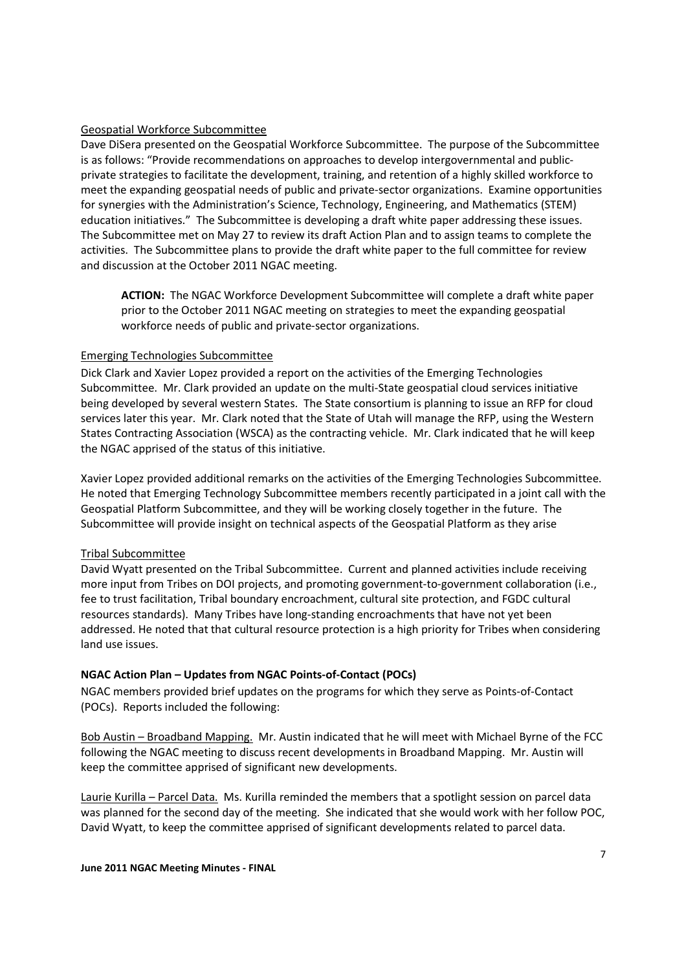#### Geospatial Workforce Subcommittee

Dave DiSera presented on the Geospatial Workforce Subcommittee. The purpose of the Subcommittee is as follows: "Provide recommendations on approaches to develop intergovernmental and publicprivate strategies to facilitate the development, training, and retention of a highly skilled workforce to meet the expanding geospatial needs of public and private-sector organizations. Examine opportunities for synergies with the Administration's Science, Technology, Engineering, and Mathematics (STEM) education initiatives." The Subcommittee is developing a draft white paper addressing these issues. The Subcommittee met on May 27 to review its draft Action Plan and to assign teams to complete the activities. The Subcommittee plans to provide the draft white paper to the full committee for review and discussion at the October 2011 NGAC meeting.

**ACTION:** The NGAC Workforce Development Subcommittee will complete a draft white paper prior to the October 2011 NGAC meeting on strategies to meet the expanding geospatial workforce needs of public and private-sector organizations.

### Emerging Technologies Subcommittee

Dick Clark and Xavier Lopez provided a report on the activities of the Emerging Technologies Subcommittee. Mr. Clark provided an update on the multi-State geospatial cloud services initiative being developed by several western States. The State consortium is planning to issue an RFP for cloud services later this year. Mr. Clark noted that the State of Utah will manage the RFP, using the Western States Contracting Association (WSCA) as the contracting vehicle. Mr. Clark indicated that he will keep the NGAC apprised of the status of this initiative.

Xavier Lopez provided additional remarks on the activities of the Emerging Technologies Subcommittee. He noted that Emerging Technology Subcommittee members recently participated in a joint call with the Geospatial Platform Subcommittee, and they will be working closely together in the future. The Subcommittee will provide insight on technical aspects of the Geospatial Platform as they arise

#### Tribal Subcommittee

David Wyatt presented on the Tribal Subcommittee. Current and planned activities include receiving more input from Tribes on DOI projects, and promoting government-to-government collaboration (i.e., fee to trust facilitation, Tribal boundary encroachment, cultural site protection, and FGDC cultural resources standards). Many Tribes have long-standing encroachments that have not yet been addressed. He noted that that cultural resource protection is a high priority for Tribes when considering land use issues.

## **NGAC Action Plan – Updates from NGAC Points-of-Contact (POCs)**

NGAC members provided brief updates on the programs for which they serve as Points-of-Contact (POCs). Reports included the following:

Bob Austin – Broadband Mapping. Mr. Austin indicated that he will meet with Michael Byrne of the FCC following the NGAC meeting to discuss recent developments in Broadband Mapping. Mr. Austin will keep the committee apprised of significant new developments.

Laurie Kurilla – Parcel Data. Ms. Kurilla reminded the members that a spotlight session on parcel data was planned for the second day of the meeting. She indicated that she would work with her follow POC, David Wyatt, to keep the committee apprised of significant developments related to parcel data.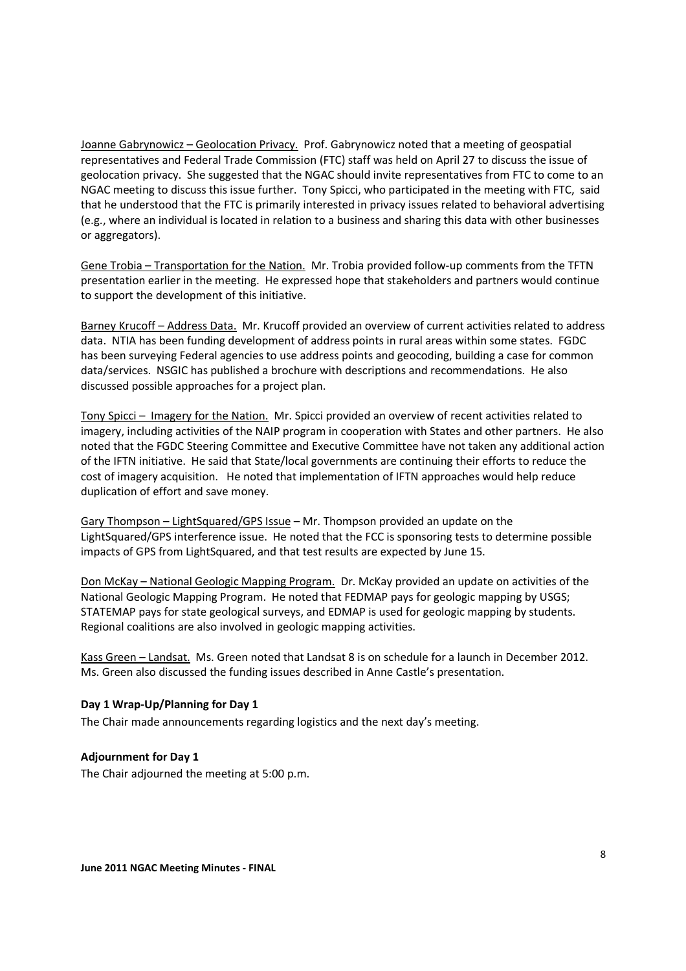Joanne Gabrynowicz – Geolocation Privacy. Prof. Gabrynowicz noted that a meeting of geospatial representatives and Federal Trade Commission (FTC) staff was held on April 27 to discuss the issue of geolocation privacy. She suggested that the NGAC should invite representatives from FTC to come to an NGAC meeting to discuss this issue further. Tony Spicci, who participated in the meeting with FTC, said that he understood that the FTC is primarily interested in privacy issues related to behavioral advertising (e.g., where an individual is located in relation to a business and sharing this data with other businesses or aggregators).

Gene Trobia – Transportation for the Nation. Mr. Trobia provided follow-up comments from the TFTN presentation earlier in the meeting. He expressed hope that stakeholders and partners would continue to support the development of this initiative.

Barney Krucoff – Address Data. Mr. Krucoff provided an overview of current activities related to address data. NTIA has been funding development of address points in rural areas within some states. FGDC has been surveying Federal agencies to use address points and geocoding, building a case for common data/services. NSGIC has published a brochure with descriptions and recommendations. He also discussed possible approaches for a project plan.

Tony Spicci – Imagery for the Nation. Mr. Spicci provided an overview of recent activities related to imagery, including activities of the NAIP program in cooperation with States and other partners. He also noted that the FGDC Steering Committee and Executive Committee have not taken any additional action of the IFTN initiative. He said that State/local governments are continuing their efforts to reduce the cost of imagery acquisition. He noted that implementation of IFTN approaches would help reduce duplication of effort and save money.

Gary Thompson – LightSquared/GPS Issue – Mr. Thompson provided an update on the LightSquared/GPS interference issue. He noted that the FCC is sponsoring tests to determine possible impacts of GPS from LightSquared, and that test results are expected by June 15.

Don McKay – National Geologic Mapping Program. Dr. McKay provided an update on activities of the National Geologic Mapping Program. He noted that FEDMAP pays for geologic mapping by USGS; STATEMAP pays for state geological surveys, and EDMAP is used for geologic mapping by students. Regional coalitions are also involved in geologic mapping activities.

Kass Green – Landsat. Ms. Green noted that Landsat 8 is on schedule for a launch in December 2012. Ms. Green also discussed the funding issues described in Anne Castle's presentation.

## **Day 1 Wrap-Up/Planning for Day 1**

The Chair made announcements regarding logistics and the next day's meeting.

## **Adjournment for Day 1**

The Chair adjourned the meeting at 5:00 p.m.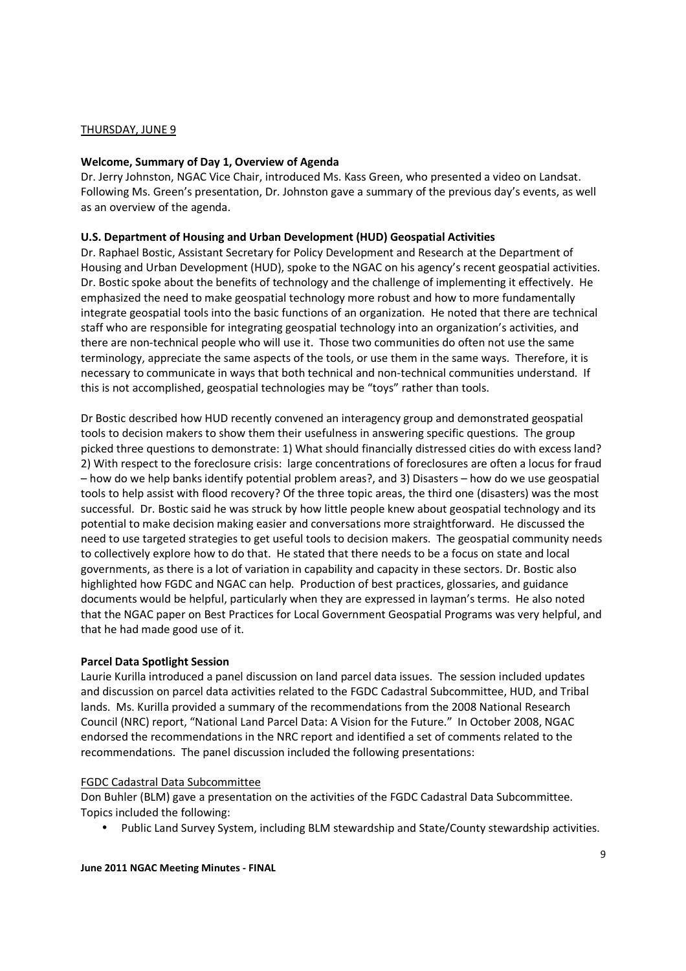### THURSDAY, JUNE 9

### **Welcome, Summary of Day 1, Overview of Agenda**

Dr. Jerry Johnston, NGAC Vice Chair, introduced Ms. Kass Green, who presented a video on Landsat. Following Ms. Green's presentation, Dr. Johnston gave a summary of the previous day's events, as well as an overview of the agenda.

#### **U.S. Department of Housing and Urban Development (HUD) Geospatial Activities**

Dr. Raphael Bostic, Assistant Secretary for Policy Development and Research at the Department of Housing and Urban Development (HUD), spoke to the NGAC on his agency's recent geospatial activities. Dr. Bostic spoke about the benefits of technology and the challenge of implementing it effectively. He emphasized the need to make geospatial technology more robust and how to more fundamentally integrate geospatial tools into the basic functions of an organization. He noted that there are technical staff who are responsible for integrating geospatial technology into an organization's activities, and there are non-technical people who will use it. Those two communities do often not use the same terminology, appreciate the same aspects of the tools, or use them in the same ways. Therefore, it is necessary to communicate in ways that both technical and non-technical communities understand. If this is not accomplished, geospatial technologies may be "toys" rather than tools.

Dr Bostic described how HUD recently convened an interagency group and demonstrated geospatial tools to decision makers to show them their usefulness in answering specific questions. The group picked three questions to demonstrate: 1) What should financially distressed cities do with excess land? 2) With respect to the foreclosure crisis: large concentrations of foreclosures are often a locus for fraud – how do we help banks identify potential problem areas?, and 3) Disasters – how do we use geospatial tools to help assist with flood recovery? Of the three topic areas, the third one (disasters) was the most successful. Dr. Bostic said he was struck by how little people knew about geospatial technology and its potential to make decision making easier and conversations more straightforward. He discussed the need to use targeted strategies to get useful tools to decision makers. The geospatial community needs to collectively explore how to do that. He stated that there needs to be a focus on state and local governments, as there is a lot of variation in capability and capacity in these sectors. Dr. Bostic also highlighted how FGDC and NGAC can help. Production of best practices, glossaries, and guidance documents would be helpful, particularly when they are expressed in layman's terms. He also noted that the NGAC paper on Best Practices for Local Government Geospatial Programs was very helpful, and that he had made good use of it.

#### **Parcel Data Spotlight Session**

Laurie Kurilla introduced a panel discussion on land parcel data issues. The session included updates and discussion on parcel data activities related to the FGDC Cadastral Subcommittee, HUD, and Tribal lands. Ms. Kurilla provided a summary of the recommendations from the 2008 National Research Council (NRC) report, "National Land Parcel Data: A Vision for the Future." In October 2008, NGAC endorsed the recommendations in the NRC report and identified a set of comments related to the recommendations. The panel discussion included the following presentations:

#### FGDC Cadastral Data Subcommittee

Don Buhler (BLM) gave a presentation on the activities of the FGDC Cadastral Data Subcommittee. Topics included the following:

• Public Land Survey System, including BLM stewardship and State/County stewardship activities.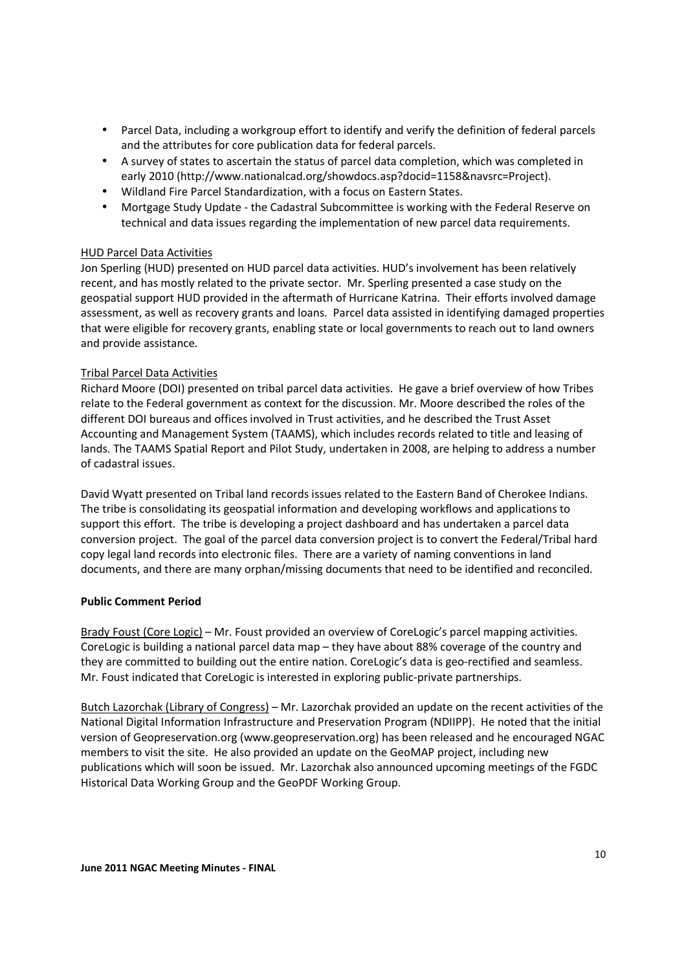- Parcel Data, including a workgroup effort to identify and verify the definition of federal parcels and the attributes for core publication data for federal parcels.
- A survey of states to ascertain the status of parcel data completion, which was completed in early 2010 (http://www.nationalcad.org/showdocs.asp?docid=1158&navsrc=Project).
- Wildland Fire Parcel Standardization, with a focus on Eastern States.
- Mortgage Study Update the Cadastral Subcommittee is working with the Federal Reserve on technical and data issues regarding the implementation of new parcel data requirements.

### HUD Parcel Data Activities

Jon Sperling (HUD) presented on HUD parcel data activities. HUD's involvement has been relatively recent, and has mostly related to the private sector. Mr. Sperling presented a case study on the geospatial support HUD provided in the aftermath of Hurricane Katrina. Their efforts involved damage assessment, as well as recovery grants and loans. Parcel data assisted in identifying damaged properties that were eligible for recovery grants, enabling state or local governments to reach out to land owners and provide assistance.

### Tribal Parcel Data Activities

Richard Moore (DOI) presented on tribal parcel data activities. He gave a brief overview of how Tribes relate to the Federal government as context for the discussion. Mr. Moore described the roles of the different DOI bureaus and offices involved in Trust activities, and he described the Trust Asset Accounting and Management System (TAAMS), which includes records related to title and leasing of lands. The TAAMS Spatial Report and Pilot Study, undertaken in 2008, are helping to address a number of cadastral issues.

David Wyatt presented on Tribal land records issues related to the Eastern Band of Cherokee Indians. The tribe is consolidating its geospatial information and developing workflows and applications to support this effort. The tribe is developing a project dashboard and has undertaken a parcel data conversion project. The goal of the parcel data conversion project is to convert the Federal/Tribal hard copy legal land records into electronic files. There are a variety of naming conventions in land documents, and there are many orphan/missing documents that need to be identified and reconciled.

## **Public Comment Period**

Brady Foust (Core Logic) – Mr. Foust provided an overview of CoreLogic's parcel mapping activities. CoreLogic is building a national parcel data map – they have about 88% coverage of the country and they are committed to building out the entire nation. CoreLogic's data is geo-rectified and seamless. Mr. Foust indicated that CoreLogic is interested in exploring public-private partnerships.

Butch Lazorchak (Library of Congress) – Mr. Lazorchak provided an update on the recent activities of the National Digital Information Infrastructure and Preservation Program (NDIIPP). He noted that the initial version of Geopreservation.org (www.geopreservation.org) has been released and he encouraged NGAC members to visit the site. He also provided an update on the GeoMAP project, including new publications which will soon be issued. Mr. Lazorchak also announced upcoming meetings of the FGDC Historical Data Working Group and the GeoPDF Working Group.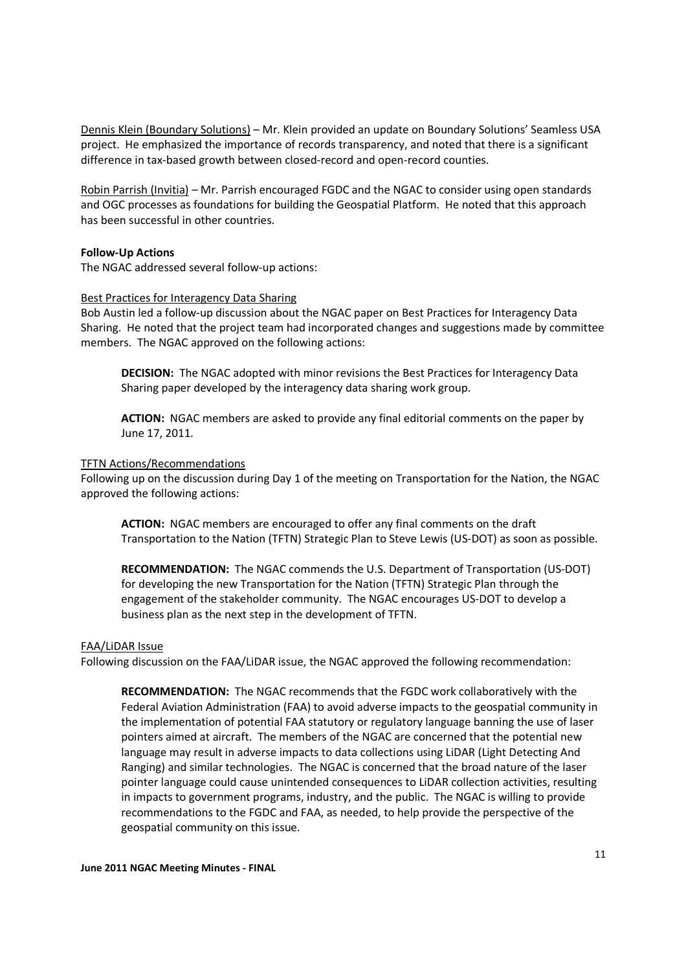Dennis Klein (Boundary Solutions) – Mr. Klein provided an update on Boundary Solutions' Seamless USA project. He emphasized the importance of records transparency, and noted that there is a significant difference in tax-based growth between closed-record and open-record counties.

Robin Parrish (Invitia) – Mr. Parrish encouraged FGDC and the NGAC to consider using open standards and OGC processes as foundations for building the Geospatial Platform. He noted that this approach has been successful in other countries.

#### **Follow-Up Actions**

The NGAC addressed several follow-up actions:

#### Best Practices for Interagency Data Sharing

Bob Austin led a follow-up discussion about the NGAC paper on Best Practices for Interagency Data Sharing. He noted that the project team had incorporated changes and suggestions made by committee members. The NGAC approved on the following actions:

**DECISION:** The NGAC adopted with minor revisions the Best Practices for Interagency Data Sharing paper developed by the interagency data sharing work group.

**ACTION:** NGAC members are asked to provide any final editorial comments on the paper by June 17, 2011.

#### TFTN Actions/Recommendations

Following up on the discussion during Day 1 of the meeting on Transportation for the Nation, the NGAC approved the following actions:

**ACTION:** NGAC members are encouraged to offer any final comments on the draft Transportation to the Nation (TFTN) Strategic Plan to Steve Lewis (US-DOT) as soon as possible.

**RECOMMENDATION:** The NGAC commends the U.S. Department of Transportation (US-DOT) for developing the new Transportation for the Nation (TFTN) Strategic Plan through the engagement of the stakeholder community. The NGAC encourages US-DOT to develop a business plan as the next step in the development of TFTN.

#### FAA/LiDAR Issue

Following discussion on the FAA/LiDAR issue, the NGAC approved the following recommendation:

**RECOMMENDATION:** The NGAC recommends that the FGDC work collaboratively with the Federal Aviation Administration (FAA) to avoid adverse impacts to the geospatial community in the implementation of potential FAA statutory or regulatory language banning the use of laser pointers aimed at aircraft. The members of the NGAC are concerned that the potential new language may result in adverse impacts to data collections using LiDAR (Light Detecting And Ranging) and similar technologies. The NGAC is concerned that the broad nature of the laser pointer language could cause unintended consequences to LiDAR collection activities, resulting in impacts to government programs, industry, and the public. The NGAC is willing to provide recommendations to the FGDC and FAA, as needed, to help provide the perspective of the geospatial community on this issue.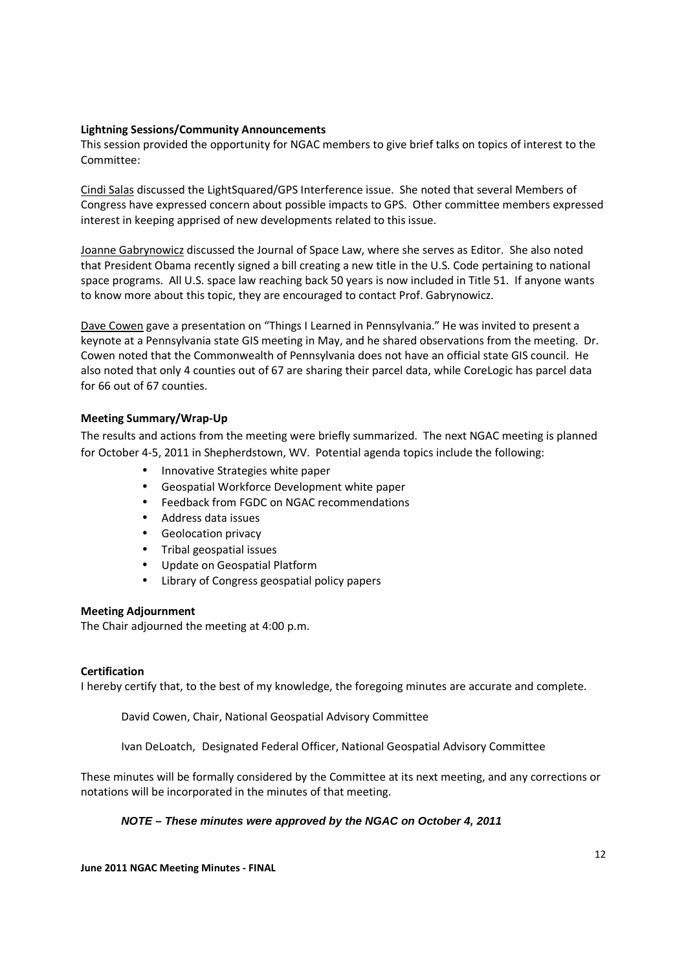### **Lightning Sessions/Community Announcements**

This session provided the opportunity for NGAC members to give brief talks on topics of interest to the Committee:

Cindi Salas discussed the LightSquared/GPS Interference issue. She noted that several Members of Congress have expressed concern about possible impacts to GPS. Other committee members expressed interest in keeping apprised of new developments related to this issue.

Joanne Gabrynowicz discussed the Journal of Space Law, where she serves as Editor. She also noted that President Obama recently signed a bill creating a new title in the U.S. Code pertaining to national space programs. All U.S. space law reaching back 50 years is now included in Title 51. If anyone wants to know more about this topic, they are encouraged to contact Prof. Gabrynowicz.

Dave Cowen gave a presentation on "Things I Learned in Pennsylvania." He was invited to present a keynote at a Pennsylvania state GIS meeting in May, and he shared observations from the meeting. Dr. Cowen noted that the Commonwealth of Pennsylvania does not have an official state GIS council. He also noted that only 4 counties out of 67 are sharing their parcel data, while CoreLogic has parcel data for 66 out of 67 counties.

### **Meeting Summary/Wrap-Up**

The results and actions from the meeting were briefly summarized. The next NGAC meeting is planned for October 4-5, 2011 in Shepherdstown, WV. Potential agenda topics include the following:

- Innovative Strategies white paper
- Geospatial Workforce Development white paper
- Feedback from FGDC on NGAC recommendations
- Address data issues
- Geolocation privacy
- Tribal geospatial issues
- Update on Geospatial Platform
- Library of Congress geospatial policy papers

#### **Meeting Adjournment**

The Chair adjourned the meeting at 4:00 p.m.

#### **Certification**

I hereby certify that, to the best of my knowledge, the foregoing minutes are accurate and complete.

David Cowen, Chair, National Geospatial Advisory Committee

Ivan DeLoatch, Designated Federal Officer, National Geospatial Advisory Committee

These minutes will be formally considered by the Committee at its next meeting, and any corrections or notations will be incorporated in the minutes of that meeting.

## **NOTE – These minutes were approved by the NGAC on October 4, 2011**